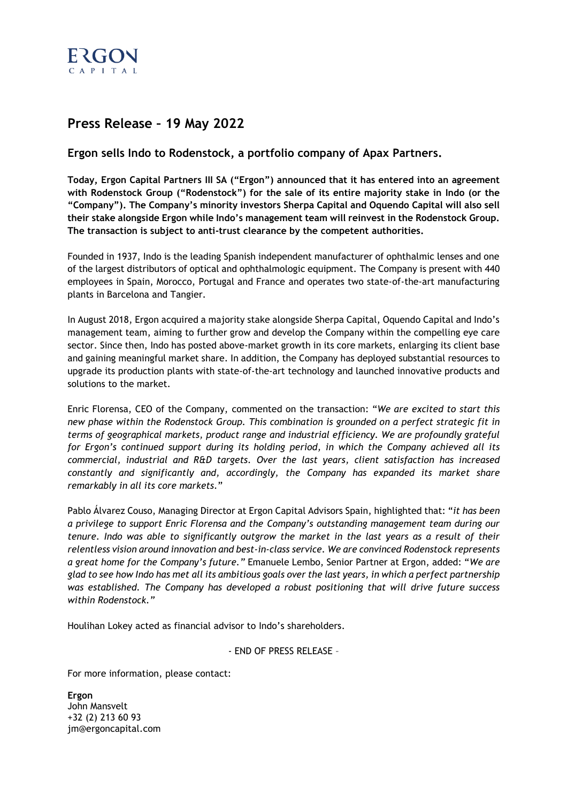

# **Press Release – 19 May 2022**

## **Ergon sells Indo to Rodenstock, a portfolio company of Apax Partners.**

**Today, Ergon Capital Partners III SA ("Ergon") announced that it has entered into an agreement with Rodenstock Group ("Rodenstock") for the sale of its entire majority stake in Indo (or the "Company"). The Company's minority investors Sherpa Capital and Oquendo Capital will also sell their stake alongside Ergon while Indo's management team will reinvest in the Rodenstock Group. The transaction is subject to anti-trust clearance by the competent authorities.**

Founded in 1937, Indo is the leading Spanish independent manufacturer of ophthalmic lenses and one of the largest distributors of optical and ophthalmologic equipment. The Company is present with 440 employees in Spain, Morocco, Portugal and France and operates two state-of-the-art manufacturing plants in Barcelona and Tangier.

In August 2018, Ergon acquired a majority stake alongside Sherpa Capital, Oquendo Capital and Indo's management team, aiming to further grow and develop the Company within the compelling eye care sector. Since then, Indo has posted above-market growth in its core markets, enlarging its client base and gaining meaningful market share. In addition, the Company has deployed substantial resources to upgrade its production plants with state-of-the-art technology and launched innovative products and solutions to the market.

Enric Florensa, CEO of the Company, commented on the transaction: "*We are excited to start this new phase within the Rodenstock Group. This combination is grounded on a perfect strategic fit in terms of geographical markets, product range and industrial efficiency. We are profoundly grateful for Ergon's continued support during its holding period, in which the Company achieved all its commercial, industrial and R&D targets. Over the last years, client satisfaction has increased constantly and significantly and, accordingly, the Company has expanded its market share remarkably in all its core markets.*"

Pablo Álvarez Couso, Managing Director at Ergon Capital Advisors Spain, highlighted that: "*it has been a privilege to support Enric Florensa and the Company's outstanding management team during our tenure. Indo was able to significantly outgrow the market in the last years as a result of their relentless vision around innovation and best-in-class service. We are convinced Rodenstock represents a great home for the Company's future."* Emanuele Lembo, Senior Partner at Ergon, added: "*We are glad to see how Indo has met all its ambitious goals over the last years, in which a perfect partnership was established. The Company has developed a robust positioning that will drive future success within Rodenstock."*

Houlihan Lokey acted as financial advisor to Indo's shareholders.

- END OF PRESS RELEASE –

For more information, please contact:

**Ergon** John Mansvelt +32 (2) 213 60 93 jm@ergoncapital.com